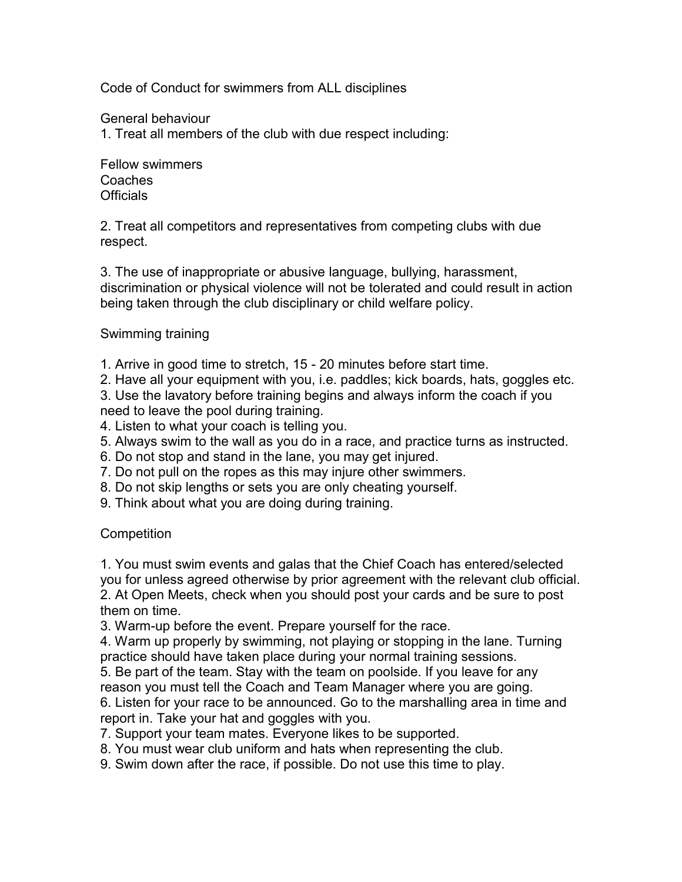Code of Conduct for swimmers from ALL disciplines

General behaviour

1. Treat all members of the club with due respect including:

Fellow swimmers Coaches **Officials** 

2. Treat all competitors and representatives from competing clubs with due respect.

3. The use of inappropriate or abusive language, bullying, harassment, discrimination or physical violence will not be tolerated and could result in action being taken through the club disciplinary or child welfare policy.

## Swimming training

1. Arrive in good time to stretch, 15 - 20 minutes before start time.

2. Have all your equipment with you, i.e. paddles; kick boards, hats, goggles etc.

3. Use the lavatory before training begins and always inform the coach if you need to leave the pool during training.

- 4. Listen to what your coach is telling you.
- 5. Always swim to the wall as you do in a race, and practice turns as instructed.
- 6. Do not stop and stand in the lane, you may get injured.
- 7. Do not pull on the ropes as this may injure other swimmers.
- 8. Do not skip lengths or sets you are only cheating yourself.
- 9. Think about what you are doing during training.

## **Competition**

1. You must swim events and galas that the Chief Coach has entered/selected you for unless agreed otherwise by prior agreement with the relevant club official. 2. At Open Meets, check when you should post your cards and be sure to post them on time.

3. Warm-up before the event. Prepare yourself for the race.

4. Warm up properly by swimming, not playing or stopping in the lane. Turning practice should have taken place during your normal training sessions.

5. Be part of the team. Stay with the team on poolside. If you leave for any reason you must tell the Coach and Team Manager where you are going.

6. Listen for your race to be announced. Go to the marshalling area in time and report in. Take your hat and goggles with you.

7. Support your team mates. Everyone likes to be supported.

- 8. You must wear club uniform and hats when representing the club.
- 9. Swim down after the race, if possible. Do not use this time to play.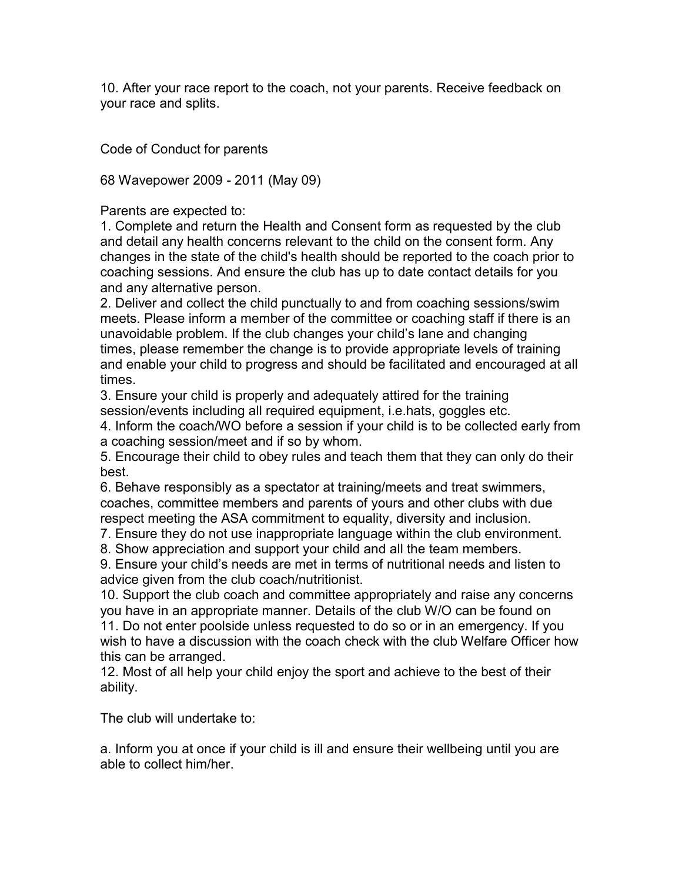10. After your race report to the coach, not your parents. Receive feedback on your race and splits.

Code of Conduct for parents

68 Wavepower 2009 - 2011 (May 09)

Parents are expected to:

1. Complete and return the Health and Consent form as requested by the club and detail any health concerns relevant to the child on the consent form. Any changes in the state of the child's health should be reported to the coach prior to coaching sessions. And ensure the club has up to date contact details for you and any alternative person.

2. Deliver and collect the child punctually to and from coaching sessions/swim meets. Please inform a member of the committee or coaching staff if there is an unavoidable problem. If the club changes your child's lane and changing times, please remember the change is to provide appropriate levels of training and enable your child to progress and should be facilitated and encouraged at all times.

3. Ensure your child is properly and adequately attired for the training session/events including all required equipment, i.e.hats, goggles etc.

4. Inform the coach/WO before a session if your child is to be collected early from a coaching session/meet and if so by whom.

5. Encourage their child to obey rules and teach them that they can only do their best.

6. Behave responsibly as a spectator at training/meets and treat swimmers, coaches, committee members and parents of yours and other clubs with due respect meeting the ASA commitment to equality, diversity and inclusion.

7. Ensure they do not use inappropriate language within the club environment.

8. Show appreciation and support your child and all the team members.

9. Ensure your child's needs are met in terms of nutritional needs and listen to advice given from the club coach/nutritionist.

10. Support the club coach and committee appropriately and raise any concerns you have in an appropriate manner. Details of the club W/O can be found on 11. Do not enter poolside unless requested to do so or in an emergency. If you

wish to have a discussion with the coach check with the club Welfare Officer how this can be arranged.

12. Most of all help your child enjoy the sport and achieve to the best of their ability.

The club will undertake to:

a. Inform you at once if your child is ill and ensure their wellbeing until you are able to collect him/her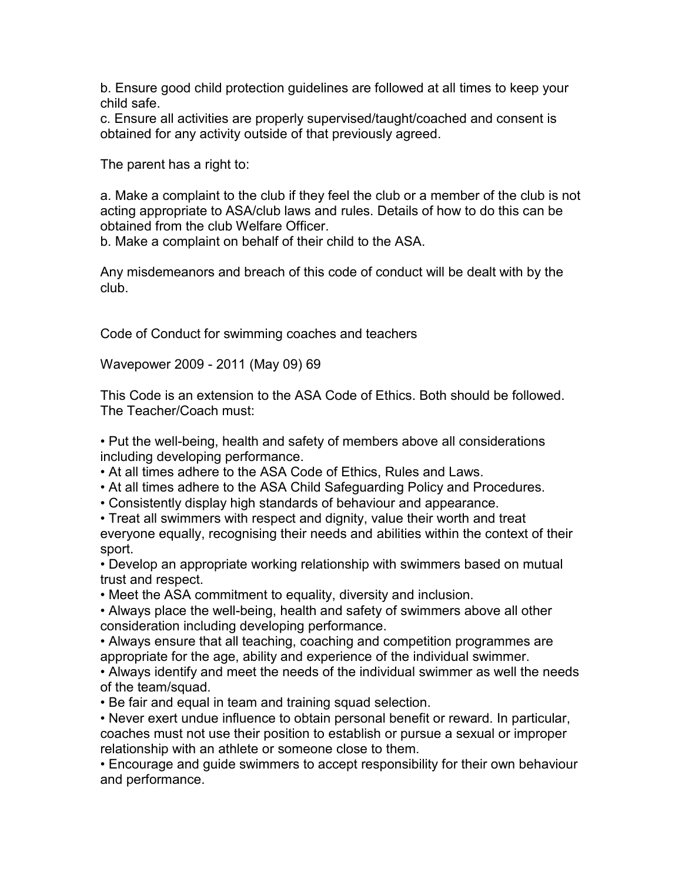b. Ensure good child protection guidelines are followed at all times to keep your child safe.

c. Ensure all activities are properly supervised/taught/coached and consent is obtained for any activity outside of that previously agreed.

The parent has a right to:

a. Make a complaint to the club if they feel the club or a member of the club is not acting appropriate to ASA/club laws and rules. Details of how to do this can be obtained from the club Welfare Officer.

b. Make a complaint on behalf of their child to the ASA.

Any misdemeanors and breach of this code of conduct will be dealt with by the club.

Code of Conduct for swimming coaches and teachers

Wavepower 2009 - 2011 (May 09) 69

This Code is an extension to the ASA Code of Ethics. Both should be followed. The Teacher/Coach must:

• Put the well-being, health and safety of members above all considerations including developing performance.

• At all times adhere to the ASA Code of Ethics, Rules and Laws.

• At all times adhere to the ASA Child Safeguarding Policy and Procedures.

• Consistently display high standards of behaviour and appearance.

• Treat all swimmers with respect and dignity, value their worth and treat everyone equally, recognising their needs and abilities within the context of their sport.

• Develop an appropriate working relationship with swimmers based on mutual trust and respect.

• Meet the ASA commitment to equality, diversity and inclusion.

• Always place the well-being, health and safety of swimmers above all other consideration including developing performance.

• Always ensure that all teaching, coaching and competition programmes are appropriate for the age, ability and experience of the individual swimmer.

• Always identify and meet the needs of the individual swimmer as well the needs of the team/squad.

• Be fair and equal in team and training squad selection.

• Never exert undue influence to obtain personal benefit or reward. In particular, coaches must not use their position to establish or pursue a sexual or improper relationship with an athlete or someone close to them.

• Encourage and guide swimmers to accept responsibility for their own behaviour and performance.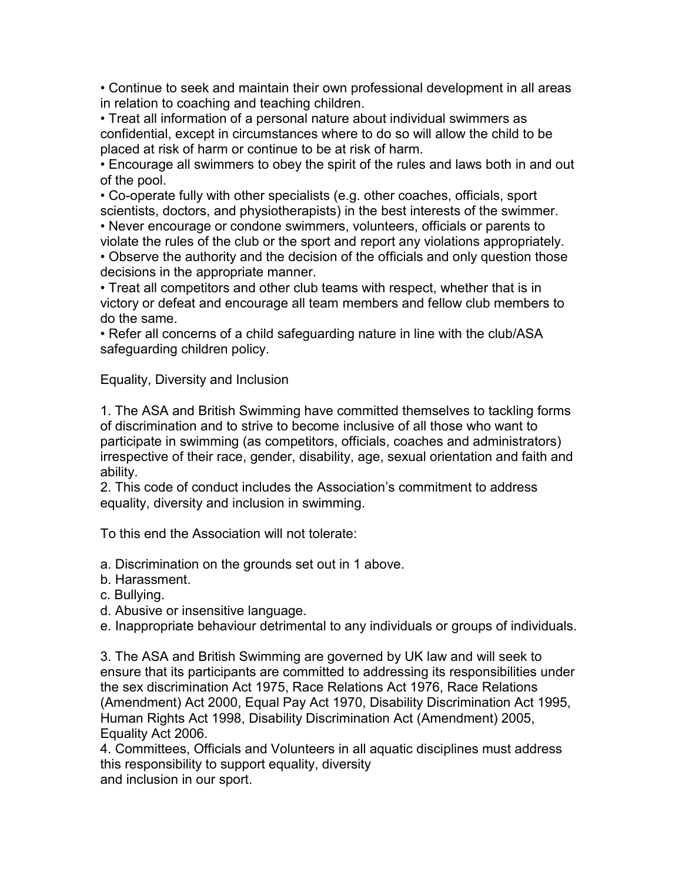• Continue to seek and maintain their own professional development in all areas in relation to coaching and teaching children.

• Treat all information of a personal nature about individual swimmers as confidential, except in circumstances where to do so will allow the child to be placed at risk of harm or continue to be at risk of harm.

• Encourage all swimmers to obey the spirit of the rules and laws both in and out of the pool.

• Co-operate fully with other specialists (e.g. other coaches, officials, sport scientists, doctors, and physiotherapists) in the best interests of the swimmer.

• Never encourage or condone swimmers, volunteers, officials or parents to

violate the rules of the club or the sport and report any violations appropriately. • Observe the authority and the decision of the officials and only question those decisions in the appropriate manner.

• Treat all competitors and other club teams with respect, whether that is in victory or defeat and encourage all team members and fellow club members to do the same.

• Refer all concerns of a child safeguarding nature in line with the club/ASA safeguarding children policy.

Equality, Diversity and Inclusion

1. The ASA and British Swimming have committed themselves to tackling forms of discrimination and to strive to become inclusive of all those who want to participate in swimming (as competitors, officials, coaches and administrators) irrespective of their race, gender, disability, age, sexual orientation and faith and ability.

2. This code of conduct includes the Association's commitment to address equality, diversity and inclusion in swimming.

To this end the Association will not tolerate:

a. Discrimination on the grounds set out in 1 above.

b. Harassment.

c. Bullying.

d. Abusive or insensitive language.

e. Inappropriate behaviour detrimental to any individuals or groups of individuals.

3. The ASA and British Swimming are governed by UK law and will seek to ensure that its participants are committed to addressing its responsibilities under the sex discrimination Act 1975, Race Relations Act 1976, Race Relations (Amendment) Act 2000, Equal Pay Act 1970, Disability Discrimination Act 1995, Human Rights Act 1998, Disability Discrimination Act (Amendment) 2005, Equality Act 2006.

4. Committees, Officials and Volunteers in all aquatic disciplines must address this responsibility to support equality, diversity and inclusion in our sport.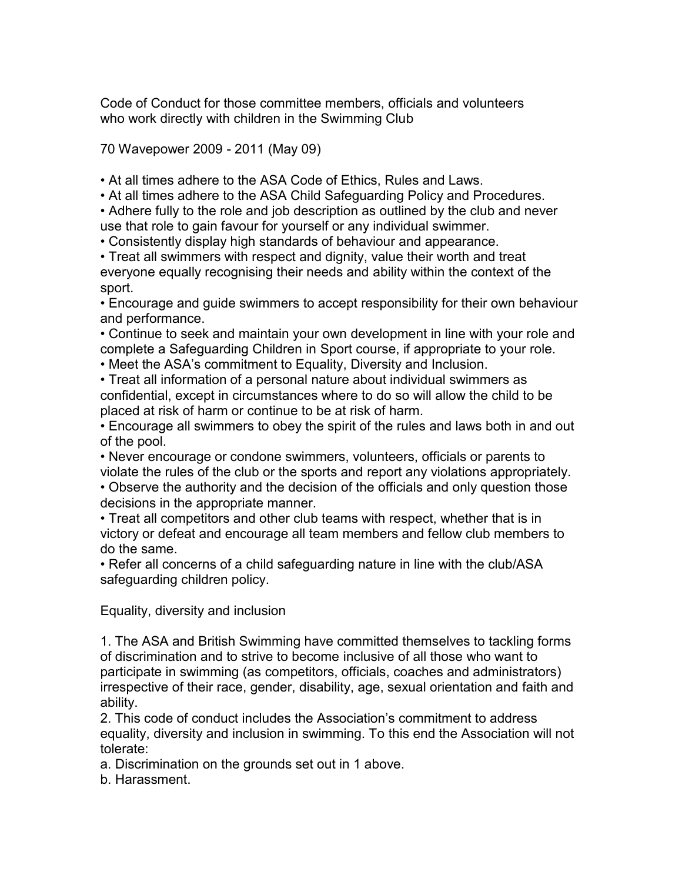Code of Conduct for those committee members, officials and volunteers who work directly with children in the Swimming Club

70 Wavepower 2009 - 2011 (May 09)

• At all times adhere to the ASA Code of Ethics, Rules and Laws.

• At all times adhere to the ASA Child Safeguarding Policy and Procedures.

• Adhere fully to the role and job description as outlined by the club and never use that role to gain favour for yourself or any individual swimmer.

• Consistently display high standards of behaviour and appearance.

• Treat all swimmers with respect and dignity, value their worth and treat everyone equally recognising their needs and ability within the context of the sport.

• Encourage and guide swimmers to accept responsibility for their own behaviour and performance.

• Continue to seek and maintain your own development in line with your role and complete a Safeguarding Children in Sport course, if appropriate to your role.

• Meet the ASA's commitment to Equality, Diversity and Inclusion.

• Treat all information of a personal nature about individual swimmers as confidential, except in circumstances where to do so will allow the child to be placed at risk of harm or continue to be at risk of harm.

• Encourage all swimmers to obey the spirit of the rules and laws both in and out of the pool.

• Never encourage or condone swimmers, volunteers, officials or parents to violate the rules of the club or the sports and report any violations appropriately.

• Observe the authority and the decision of the officials and only question those decisions in the appropriate manner.

• Treat all competitors and other club teams with respect, whether that is in victory or defeat and encourage all team members and fellow club members to do the same.

• Refer all concerns of a child safeguarding nature in line with the club/ASA safeguarding children policy.

Equality, diversity and inclusion

1. The ASA and British Swimming have committed themselves to tackling forms of discrimination and to strive to become inclusive of all those who want to participate in swimming (as competitors, officials, coaches and administrators) irrespective of their race, gender, disability, age, sexual orientation and faith and ability.

2. This code of conduct includes the Association's commitment to address equality, diversity and inclusion in swimming. To this end the Association will not tolerate:

a. Discrimination on the grounds set out in 1 above.

b. Harassment.